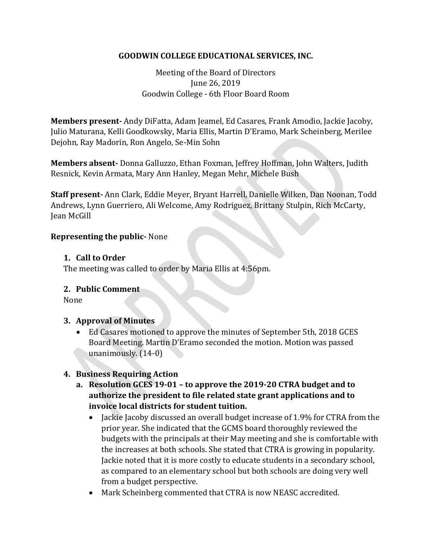## **GOODWIN COLLEGE EDUCATIONAL SERVICES, INC.**

Meeting of the Board of Directors June 26, 2019 Goodwin College - 6th Floor Board Room

**Members present-** Andy DiFatta, Adam Jeamel, Ed Casares, Frank Amodio, Jackie Jacoby, Julio Maturana, Kelli Goodkowsky, Maria Ellis, Martin D'Eramo, Mark Scheinberg, Merilee Dejohn, Ray Madorin, Ron Angelo, Se-Min Sohn

**Members absent-** Donna Galluzzo, Ethan Foxman, Jeffrey Hoffman, John Walters, Judith Resnick, Kevin Armata, Mary Ann Hanley, Megan Mehr, Michele Bush

**Staff present-** Ann Clark, Eddie Meyer, Bryant Harrell, Danielle Wilken, Dan Noonan, Todd Andrews, Lynn Guerriero, Ali Welcome, Amy Rodriguez, Brittany Stulpin, Rich McCarty, Jean McGill

### **Representing the public-** None

#### **1. Call to Order**

The meeting was called to order by Maria Ellis at 4:56pm.

### **2. Public Comment**

None

### **3. Approval of Minutes**

 Ed Casares motioned to approve the minutes of September 5th, 2018 GCES Board Meeting. Martin D'Eramo seconded the motion. Motion was passed unanimously. (14-0)

## **4. Business Requiring Action**

- **a. Resolution GCES 19-01 – to approve the 2019-20 CTRA budget and to authorize the president to file related state grant applications and to invoice local districts for student tuition.**
	- Jackie Jacoby discussed an overall budget increase of 1.9% for CTRA from the prior year. She indicated that the GCMS board thoroughly reviewed the budgets with the principals at their May meeting and she is comfortable with the increases at both schools. She stated that CTRA is growing in popularity. Jackie noted that it is more costly to educate students in a secondary school, as compared to an elementary school but both schools are doing very well from a budget perspective.
	- Mark Scheinberg commented that CTRA is now NEASC accredited.